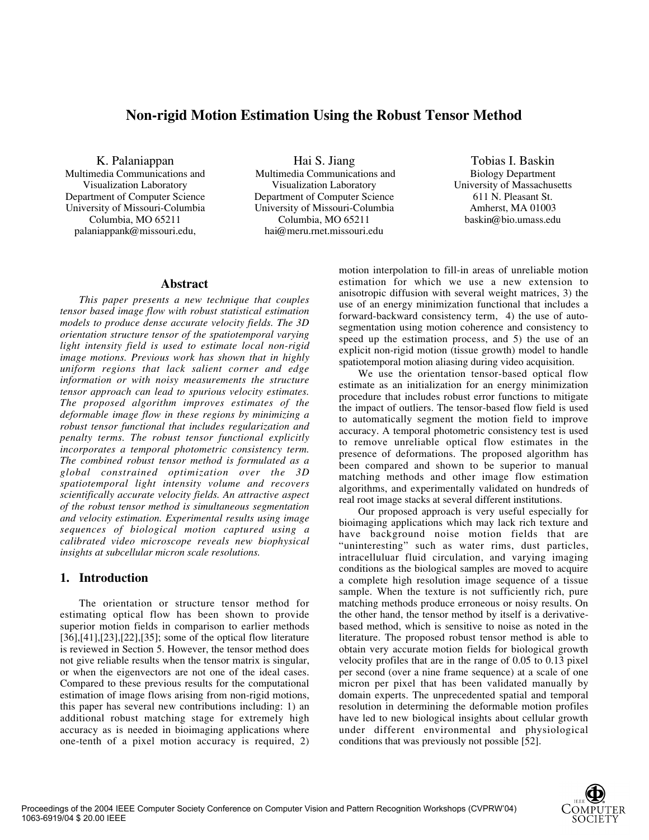# **Non-rigid Motion Estimation Using the Robust Tensor Method**

K. Palaniappan Multimedia Communications and Visualization Laboratory Department of Computer Science University of Missouri-Columbia Columbia, MO 65211 palaniappank@missouri.edu,

Hai S. Jiang Multimedia Communications and Visualization Laboratory Department of Computer Science University of Missouri-Columbia Columbia, MO 65211 hai@meru.rnet.missouri.edu

Tobias I. Baskin Biology Department University of Massachusetts 611 N. Pleasant St. Amherst, MA 01003 baskin@bio.umass.edu

#### **Abstract**

*This paper presents a new technique that couples tensor based image flow with robust statistical estimation models to produce dense accurate velocity fields. The 3D orientation structure tensor of the spatiotemporal varying light intensity field is used to estimate local non-rigid image motions. Previous work has shown that in highly uniform regions that lack salient corner and edge information or with noisy measurements the structure tensor approach can lead to spurious velocity estimates. The proposed algorithm improves estimates of the deformable image flow in these regions by minimizing a robust tensor functional that includes regularization and penalty terms. The robust tensor functional explicitly incorporates a temporal photometric consistency term. The combined robust tensor method is formulated as a global constrained optimization over the 3D spatiotemporal light intensity volume and recovers scientifically accurate velocity fields. An attractive aspect of the robust tensor method is simultaneous segmentation and velocity estimation. Experimental results using image sequences of biological motion captured using a calibrated video microscope reveals new biophysical insights at subcellular micron scale resolutions.*

#### **1. Introduction**

The orientation or structure tensor method for estimating optical flow has been shown to provide superior motion fields in comparison to earlier methods [36],[41],[23],[22],[35]; some of the optical flow literature is reviewed in Section 5. However, the tensor method does not give reliable results when the tensor matrix is singular, or when the eigenvectors are not one of the ideal cases. Compared to these previous results for the computational estimation of image flows arising from non-rigid motions, this paper has several new contributions including: 1) an additional robust matching stage for extremely high accuracy as is needed in bioimaging applications where one-tenth of a pixel motion accuracy is required, 2)

motion interpolation to fill-in areas of unreliable motion estimation for which we use a new extension to anisotropic diffusion with several weight matrices, 3) the use of an energy minimization functional that includes a forward-backward consistency term, 4) the use of autosegmentation using motion coherence and consistency to speed up the estimation process, and 5) the use of an explicit non-rigid motion (tissue growth) model to handle spatiotemporal motion aliasing during video acquisition.

We use the orientation tensor-based optical flow estimate as an initialization for an energy minimization procedure that includes robust error functions to mitigate the impact of outliers. The tensor-based flow field is used to automatically segment the motion field to improve accuracy. A temporal photometric consistency test is used to remove unreliable optical flow estimates in the presence of deformations. The proposed algorithm has been compared and shown to be superior to manual matching methods and other image flow estimation algorithms, and experimentally validated on hundreds of real root image stacks at several different institutions.

Our proposed approach is very useful especially for bioimaging applications which may lack rich texture and have background noise motion fields that are "uninteresting" such as water rims, dust particles, intracelluluar fluid circulation, and varying imaging conditions as the biological samples are moved to acquire a complete high resolution image sequence of a tissue sample. When the texture is not sufficiently rich, pure matching methods produce erroneous or noisy results. On the other hand, the tensor method by itself is a derivativebased method, which is sensitive to noise as noted in the literature. The proposed robust tensor method is able to obtain very accurate motion fields for biological growth velocity profiles that are in the range of 0.05 to 0.13 pixel per second (over a nine frame sequence) at a scale of one micron per pixel that has been validated manually by domain experts. The unprecedented spatial and temporal resolution in determining the deformable motion profiles have led to new biological insights about cellular growth under different environmental and physiological conditions that was previously not possible [52].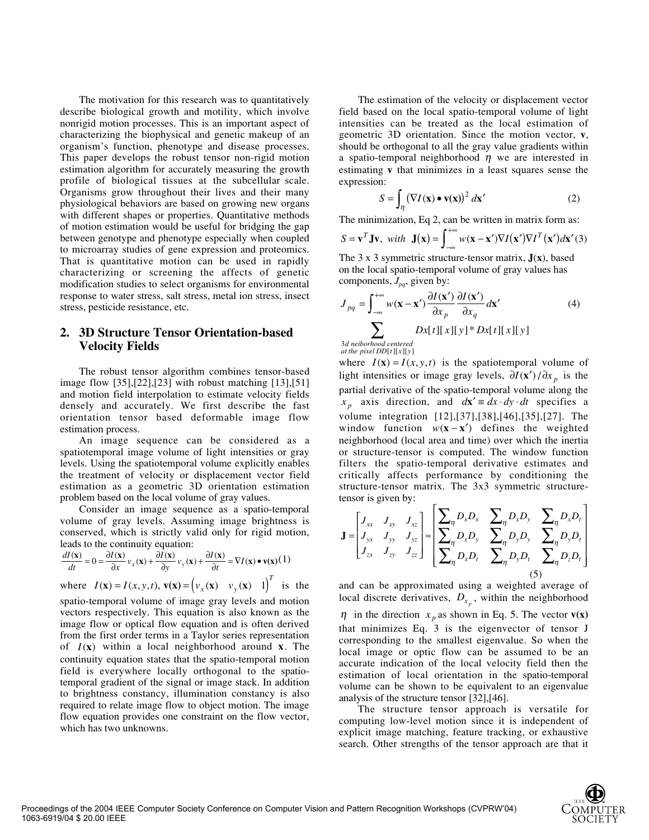The motivation for this research was to quantitatively describe biological growth and motility, which involve nonrigid motion processes. This is an important aspect of characterizing the biophysical and genetic makeup of an organism's function, phenotype and disease processes. This paper develops the robust tensor non-rigid motion estimation algorithm for accurately measuring the growth profile of biological tissues at the subcellular scale. Organisms grow throughout their lives and their many physiological behaviors are based on growing new organs with different shapes or properties. Quantitative methods of motion estimation would be useful for bridging the gap between genotype and phenotype especially when coupled to microarray studies of gene expression and proteomics. That is quantitative motion can be used in rapidly characterizing or screening the affects of genetic modification studies to select organisms for environmental response to water stress, salt stress, metal ion stress, insect stress, pesticide resistance, etc.

### **2. 3D Structure Tensor Orientation-based Velocity Fields**

The robust tensor algorithm combines tensor-based image flow [35],[22],[23] with robust matching [13],[51] and motion field interpolation to estimate velocity fields densely and accurately. We first describe the fast orientation tensor based deformable image flow estimation process.

An image sequence can be considered as a spatiotemporal image volume of light intensities or gray levels. Using the spatiotemporal volume explicitly enables the treatment of velocity or displacement vector field estimation as a geometric 3D orientation estimation problem based on the local volume of gray values.

Consider an image sequence as a spatio-temporal volume of gray levels. Assuming image brightness is conserved, which is strictly valid only for rigid motion, leads to the continuity equation:

$$
\frac{dI(\mathbf{x})}{dt} = 0 = \frac{\partial I(\mathbf{x})}{\partial x} v_x(\mathbf{x}) + \frac{\partial I(\mathbf{x})}{\partial y} v_y(\mathbf{x}) + \frac{\partial I(\mathbf{x})}{\partial t} = \nabla I(\mathbf{x}) \bullet \mathbf{v}(\mathbf{x}) (1)
$$

where 
$$
I(\mathbf{x}) = I(x, y, t)
$$
,  $\mathbf{v}(\mathbf{x}) = (v_x(\mathbf{x}) \quad v_y(\mathbf{x}) \quad 1)^T$  is the

spatio-temporal volume of image gray levels and motion vectors respectively. This equation is also known as the image flow or optical flow equation and is often derived from the first order terms in a Taylor series representation of  $I(x)$  within a local neighborhood around **x**. The continuity equation states that the spatio-temporal motion field is everywhere locally orthogonal to the spatiotemporal gradient of the signal or image stack. In addition to brightness constancy, illumination constancy is also required to relate image flow to object motion. The image flow equation provides one constraint on the flow vector, which has two unknowns.

The estimation of the velocity or displacement vector field based on the local spatio-temporal volume of light intensities can be treated as the local estimation of geometric 3D orientation. Since the motion vector, **v**, should be orthogonal to all the gray value gradients within a spatio-temporal neighborhood  $\eta$  we are interested in estimating **v** that minimizes in a least squares sense the expression:

$$
S = \int_{\eta} \left( \nabla I(\mathbf{x}) \bullet \mathbf{v}(\mathbf{x}) \right)^2 d\mathbf{x'}
$$
 (2)

The minimization, Eq 2, can be written in matrix form as:

$$
S = \mathbf{v}^T \mathbf{J} \mathbf{v}, \text{ with } \mathbf{J}(\mathbf{x}) = \int_{-\infty}^{+\infty} w(\mathbf{x} - \mathbf{x}') \nabla I(\mathbf{x}') \nabla I^T(\mathbf{x}') d\mathbf{x}'(3)
$$

The 3 x 3 symmetric structure-tensor matrix, **J**(**x**), based on the local spatio-temporal volume of gray values has components,  $J_{pa}$ , given by:

$$
J_{pq} = \int_{-\infty}^{+\infty} w(\mathbf{x} - \mathbf{x}') \frac{\partial I(\mathbf{x}')}{\partial x_p} \frac{\partial I(\mathbf{x}')}{\partial x_q} d\mathbf{x}'
$$
(4)  

$$
\sum_{3d \text{ neighborhood centered}} Dx[t][x][y]^* Dx[t][x][y]
$$

 $at the pixel DD[t][x][y]$ 

where  $I(\mathbf{x}) = I(x, y, t)$  is the spatiotemporal volume of light intensities or image gray levels,  $\partial I(\mathbf{x}') / \partial x$  is the partial derivative of the spatio-temporal volume along the  $x_p$  axis direction, and  $d\mathbf{x}' \equiv dx \cdot dy \cdot dt$  specifies a volume integration [12],[37],[38],[46],[35],[27]. The window function  $w(x - x')$  defines the weighted neighborhood (local area and time) over which the inertia or structure-tensor is computed. The window function filters the spatio-temporal derivative estimates and critically affects performance by conditioning the structure-tensor matrix. The 3x3 symmetric structuretensor is given by:

$$
\mathbf{J} = \begin{bmatrix} J_{xx} & J_{xy} & J_{xz} \\ J_{yx} & J_{yy} & J_{yz} \\ J_{zx} & J_{zy} & J_{zz} \end{bmatrix} \approx \begin{bmatrix} \sum_{\eta} D_x D_x & \sum_{\eta} D_x D_y & \sum_{\eta} D_x D_t \\ \sum_{\eta} D_x D_y & \sum_{\eta} D_y D_y & \sum_{\eta} D_y D_t \\ \sum_{\eta} D_x D_t & \sum_{\eta} D_y D_t & \sum_{\eta} D_z D_t \end{bmatrix}
$$
(5)

and can be approximated using a weighted average of local discrete derivatives,  $D_{x_p}$ , within the neighborhood

 $\eta$  in the direction  $x_p$  as shown in Eq. 5. The vector **v(x)** that minimizes Eq. 3 is the eigenvector of tensor J corresponding to the smallest eigenvalue. So when the local image or optic flow can be assumed to be an accurate indication of the local velocity field then the estimation of local orientation in the spatio-temporal volume can be shown to be equivalent to an eigenvalue analysis of the structure tensor [32],[46].

The structure tensor approach is versatile for computing low-level motion since it is independent of explicit image matching, feature tracking, or exhaustive search. Other strengths of the tensor approach are that it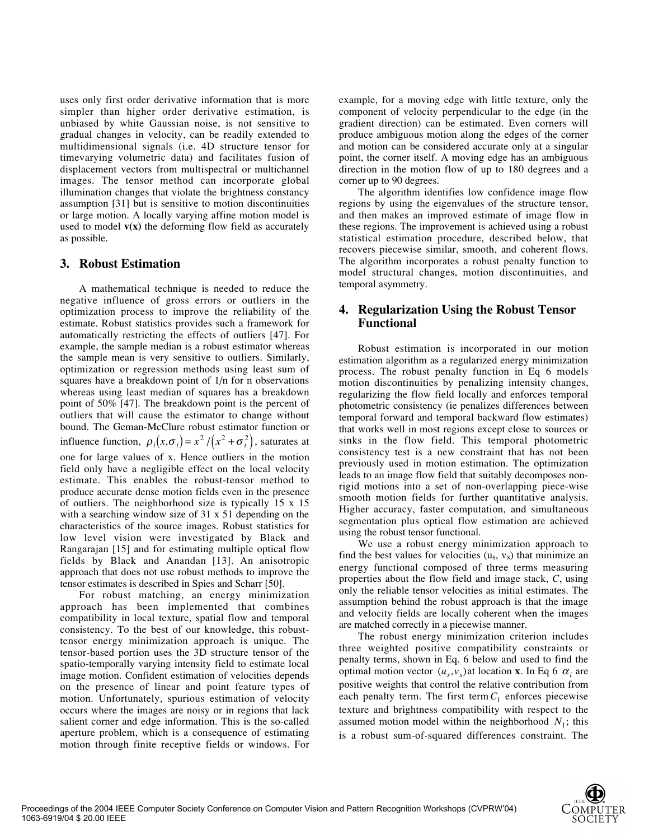uses only first order derivative information that is more simpler than higher order derivative estimation, is unbiased by white Gaussian noise, is not sensitive to gradual changes in velocity, can be readily extended to multidimensional signals (i.e. 4D structure tensor for timevarying volumetric data) and facilitates fusion of displacement vectors from multispectral or multichannel images. The tensor method can incorporate global illumination changes that violate the brightness constancy assumption [31] but is sensitive to motion discontinuities or large motion. A locally varying affine motion model is used to model  $v(x)$  the deforming flow field as accurately as possible.

#### **3. Robust Estimation**

A mathematical technique is needed to reduce the negative influence of gross errors or outliers in the optimization process to improve the reliability of the estimate. Robust statistics provides such a framework for automatically restricting the effects of outliers [47]. For example, the sample median is a robust estimator whereas the sample mean is very sensitive to outliers. Similarly, optimization or regression methods using least sum of squares have a breakdown point of 1/n for n observations whereas using least median of squares has a breakdown point of 50% [47]. The breakdown point is the percent of outliers that will cause the estimator to change without bound. The Geman-McClure robust estimator function or influence function,  $\rho_i(x, \sigma_i) = x^2 / (x^2 + \sigma_i^2)$ , saturates at one for large values of x. Hence outliers in the motion field only have a negligible effect on the local velocity estimate. This enables the robust-tensor method to produce accurate dense motion fields even in the presence of outliers. The neighborhood size is typically 15 x 15 with a searching window size of 31 x 51 depending on the characteristics of the source images. Robust statistics for low level vision were investigated by Black and Rangarajan [15] and for estimating multiple optical flow fields by Black and Anandan [13]. An anisotropic approach that does not use robust methods to improve the tensor estimates is described in Spies and Scharr [50].

For robust matching, an energy minimization approach has been implemented that combines compatibility in local texture, spatial flow and temporal consistency. To the best of our knowledge, this robusttensor energy minimization approach is unique. The tensor-based portion uses the 3D structure tensor of the spatio-temporally varying intensity field to estimate local image motion. Confident estimation of velocities depends on the presence of linear and point feature types of motion. Unfortunately, spurious estimation of velocity occurs where the images are noisy or in regions that lack salient corner and edge information. This is the so-called aperture problem, which is a consequence of estimating motion through finite receptive fields or windows. For

example, for a moving edge with little texture, only the component of velocity perpendicular to the edge (in the gradient direction) can be estimated. Even corners will produce ambiguous motion along the edges of the corner and motion can be considered accurate only at a singular point, the corner itself. A moving edge has an ambiguous direction in the motion flow of up to 180 degrees and a corner up to 90 degrees.

The algorithm identifies low confidence image flow regions by using the eigenvalues of the structure tensor, and then makes an improved estimate of image flow in these regions. The improvement is achieved using a robust statistical estimation procedure, described below, that recovers piecewise similar, smooth, and coherent flows. The algorithm incorporates a robust penalty function to model structural changes, motion discontinuities, and temporal asymmetry.

## **4. Regularization Using the Robust Tensor Functional**

Robust estimation is incorporated in our motion estimation algorithm as a regularized energy minimization process. The robust penalty function in Eq 6 models motion discontinuities by penalizing intensity changes, regularizing the flow field locally and enforces temporal photometric consistency (ie penalizes differences between temporal forward and temporal backward flow estimates) that works well in most regions except close to sources or sinks in the flow field. This temporal photometric consistency test is a new constraint that has not been previously used in motion estimation. The optimization leads to an image flow field that suitably decomposes nonrigid motions into a set of non-overlapping piece-wise smooth motion fields for further quantitative analysis. Higher accuracy, faster computation, and simultaneous segmentation plus optical flow estimation are achieved using the robust tensor functional.

We use a robust energy minimization approach to find the best values for velocities  $(u<sub>s</sub>, v<sub>s</sub>)$  that minimize an energy functional composed of three terms measuring properties about the flow field and image stack, *C*, using only the reliable tensor velocities as initial estimates. The assumption behind the robust approach is that the image and velocity fields are locally coherent when the images are matched correctly in a piecewise manner.

The robust energy minimization criterion includes three weighted positive compatibility constraints or penalty terms, shown in Eq. 6 below and used to find the optimal motion vector  $(u_s, v_s)$  at location **x**. In Eq 6  $\alpha_i$  are positive weights that control the relative contribution from each penalty term. The first term  $C_1$  enforces piecewise texture and brightness compatibility with respect to the assumed motion model within the neighborhood  $N_1$ ; this is a robust sum-of-squared differences constraint. The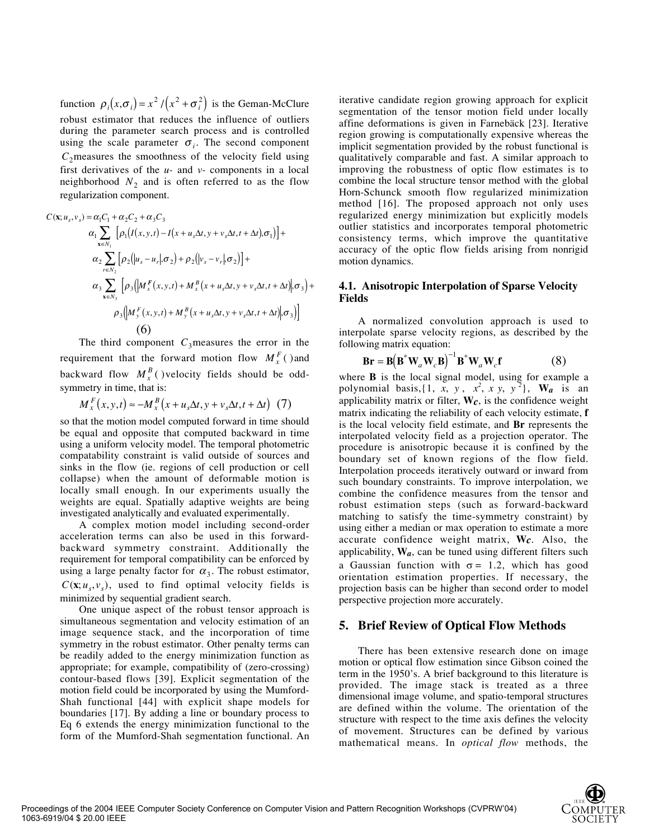function  $\rho_i(x, \sigma_i) = x^2 / (x^2 + \sigma_i^2)$  is the Geman-McClure robust estimator that reduces the influence of outliers during the parameter search process and is controlled using the scale parameter  $\sigma_i$ . The second component  $C_2$  measures the smoothness of the velocity field using first derivatives of the *u-* and *v-* components in a local neighborhood  $N_2$  and is often referred to as the flow regularization component.

$$
C(\mathbf{x}; u_s, v_s) = \alpha_1 C_1 + \alpha_2 C_2 + \alpha_3 C_3
$$
  
\n
$$
\alpha_1 \sum_{\mathbf{x} \in N_1} \left[ \rho_1 (I(x, y, t) - I(x + u_s \Delta t, y + v_s \Delta t, t + \Delta t), \sigma_1) \right] +
$$
  
\n
$$
\alpha_2 \sum_{r \in N_2} \left[ \rho_2 (|u_s - u_r|, \sigma_2) + \rho_2 (|v_s - v_r|, \sigma_2) \right] +
$$
  
\n
$$
\alpha_3 \sum_{\mathbf{x} \in N_3} \left[ \rho_3 (|M_x^F(x, y, t) + M_x^B(x + u_s \Delta t, y + v_s \Delta t, t + \Delta t)|, \sigma_3) +
$$
  
\n
$$
\rho_3 (|M_y^F(x, y, t) + M_y^B(x + u_s \Delta t, y + v_s \Delta t, t + \Delta t)|, \sigma_3) \right]
$$
  
\n(6)

The third component  $C_3$  measures the error in the requirement that the forward motion flow  $M_{x}^{F}$  () and backward flow  $M_x^B$  () velocity fields should be oddsymmetry in time, that is:

$$
M_x^F(x, y, t) \approx -M_x^B(x + u_s \Delta t, y + v_s \Delta t, t + \Delta t) \tag{7}
$$

so that the motion model computed forward in time should be equal and opposite that computed backward in time using a uniform velocity model. The temporal photometric compatability constraint is valid outside of sources and sinks in the flow (ie. regions of cell production or cell collapse) when the amount of deformable motion is locally small enough. In our experiments usually the weights are equal. Spatially adaptive weights are being investigated analytically and evaluated experimentally.

A complex motion model including second-order acceleration terms can also be used in this forwardbackward symmetry constraint. Additionally the requirement for temporal compatibility can be enforced by using a large penalty factor for  $\alpha_3$ . The robust estimator,  $C(\mathbf{x}; u_s, v_s)$ , used to find optimal velocity fields is minimized by sequential gradient search.

One unique aspect of the robust tensor approach is simultaneous segmentation and velocity estimation of an image sequence stack, and the incorporation of time symmetry in the robust estimator. Other penalty terms can be readily added to the energy minimization function as appropriate; for example, compatibility of (zero-crossing) contour-based flows [39]. Explicit segmentation of the motion field could be incorporated by using the Mumford-Shah functional [44] with explicit shape models for boundaries [17]. By adding a line or boundary process to Eq 6 extends the energy minimization functional to the form of the Mumford-Shah segmentation functional. An iterative candidate region growing approach for explicit segmentation of the tensor motion field under locally affine deformations is given in Farnebäck [23]. Iterative region growing is computationally expensive whereas the implicit segmentation provided by the robust functional is qualitatively comparable and fast. A similar approach to improving the robustness of optic flow estimates is to combine the local structure tensor method with the global Horn-Schunck smooth flow regularized minimization method [16]. The proposed approach not only uses regularized energy minimization but explicitly models outlier statistics and incorporates temporal photometric consistency terms, which improve the quantitative accuracy of the optic flow fields arising from nonrigid motion dynamics.

#### **4.1. Anisotropic Interpolation of Sparse Velocity Fields**

A normalized convolution approach is used to interpolate sparse velocity regions, as described by the following matrix equation:

$$
\mathbf{Br} = \mathbf{B} (\mathbf{B}^* \mathbf{W}_a \mathbf{W}_c \mathbf{B})^{-1} \mathbf{B}^* \mathbf{W}_a \mathbf{W}_c \mathbf{f}
$$
 (8)

where **B** is the local signal model, using for example a polynomial basis,  $\{1, x, y, x^2, x y, y^2\}$ , W<sub>a</sub> is an applicability matrix or filter, **W***c*, is the confidence weight matrix indicating the reliability of each velocity estimate, **f** is the local velocity field estimate, and **Br** represents the interpolated velocity field as a projection operator. The procedure is anisotropic because it is confined by the boundary set of known regions of the flow field. Interpolation proceeds iteratively outward or inward from such boundary constraints. To improve interpolation, we combine the confidence measures from the tensor and robust estimation steps (such as forward-backward matching to satisfy the time-symmetry constraint) by using either a median or max operation to estimate a more accurate confidence weight matrix, **W***c*. Also, the applicability, **W***a*, can be tuned using different filters such a Gaussian function with  $\sigma = 1.2$ , which has good orientation estimation properties. If necessary, the projection basis can be higher than second order to model perspective projection more accurately.

#### **5. Brief Review of Optical Flow Methods**

There has been extensive research done on image motion or optical flow estimation since Gibson coined the term in the 1950's. A brief background to this literature is provided. The image stack is treated as a three dimensional image volume, and spatio-temporal structures are defined within the volume. The orientation of the structure with respect to the time axis defines the velocity of movement. Structures can be defined by various mathematical means. In *optical flow* methods, the

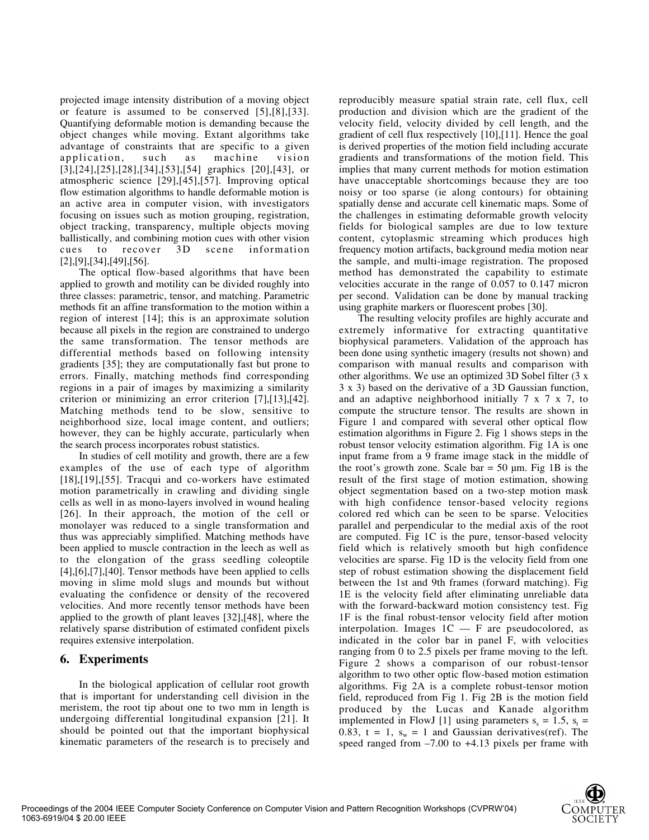projected image intensity distribution of a moving object or feature is assumed to be conserved [5],[8],[33]. Quantifying deformable motion is demanding because the object changes while moving. Extant algorithms take advantage of constraints that are specific to a given application, such as machine vision [3],[24],[25],[28],[34],[53],[54] graphics [20],[43], or atmospheric science [29],[45],[57]. Improving optical flow estimation algorithms to handle deformable motion is an active area in computer vision, with investigators focusing on issues such as motion grouping, registration, object tracking, transparency, multiple objects moving ballistically, and combining motion cues with other vision cues to recover 3D scene information [2],[9],[34],[49],[56].

The optical flow-based algorithms that have been applied to growth and motility can be divided roughly into three classes: parametric, tensor, and matching. Parametric methods fit an affine transformation to the motion within a region of interest [14]; this is an approximate solution because all pixels in the region are constrained to undergo the same transformation. The tensor methods are differential methods based on following intensity gradients [35]; they are computationally fast but prone to errors. Finally, matching methods find corresponding regions in a pair of images by maximizing a similarity criterion or minimizing an error criterion [7],[13],[42]. Matching methods tend to be slow, sensitive to neighborhood size, local image content, and outliers; however, they can be highly accurate, particularly when the search process incorporates robust statistics.

In studies of cell motility and growth, there are a few examples of the use of each type of algorithm [18],[19],[55]. Tracqui and co-workers have estimated motion parametrically in crawling and dividing single cells as well in as mono-layers involved in wound healing [26]. In their approach, the motion of the cell or monolayer was reduced to a single transformation and thus was appreciably simplified. Matching methods have been applied to muscle contraction in the leech as well as to the elongation of the grass seedling coleoptile [4],[6],[7],[40]. Tensor methods have been applied to cells moving in slime mold slugs and mounds but without evaluating the confidence or density of the recovered velocities. And more recently tensor methods have been applied to the growth of plant leaves [32],[48], where the relatively sparse distribution of estimated confident pixels requires extensive interpolation.

## **6. Experiments**

In the biological application of cellular root growth that is important for understanding cell division in the meristem, the root tip about one to two mm in length is undergoing differential longitudinal expansion [21]. It should be pointed out that the important biophysical kinematic parameters of the research is to precisely and

reproducibly measure spatial strain rate, cell flux, cell production and division which are the gradient of the velocity field, velocity divided by cell length, and the gradient of cell flux respectively [10],[11]. Hence the goal is derived properties of the motion field including accurate gradients and transformations of the motion field. This implies that many current methods for motion estimation have unacceptable shortcomings because they are too noisy or too sparse (ie along contours) for obtaining spatially dense and accurate cell kinematic maps. Some of the challenges in estimating deformable growth velocity fields for biological samples are due to low texture content, cytoplasmic streaming which produces high frequency motion artifacts, background media motion near the sample, and multi-image registration. The proposed method has demonstrated the capability to estimate velocities accurate in the range of 0.057 to 0.147 micron per second. Validation can be done by manual tracking using graphite markers or fluorescent probes [30].

The resulting velocity profiles are highly accurate and extremely informative for extracting quantitative biophysical parameters. Validation of the approach has been done using synthetic imagery (results not shown) and comparison with manual results and comparison with other algorithms. We use an optimized 3D Sobel filter (3 x 3 x 3) based on the derivative of a 3D Gaussian function, and an adaptive neighborhood initially 7 x 7 x 7, to compute the structure tensor. The results are shown in Figure 1 and compared with several other optical flow estimation algorithms in Figure 2. Fig 1 shows steps in the robust tensor velocity estimation algorithm. Fig 1A is one input frame from a 9 frame image stack in the middle of the root's growth zone. Scale bar  $= 50$  µm. Fig 1B is the result of the first stage of motion estimation, showing object segmentation based on a two-step motion mask with high confidence tensor-based velocity regions colored red which can be seen to be sparse. Velocities parallel and perpendicular to the medial axis of the root are computed. Fig 1C is the pure, tensor-based velocity field which is relatively smooth but high confidence velocities are sparse. Fig 1D is the velocity field from one step of robust estimation showing the displacement field between the 1st and 9th frames (forward matching). Fig 1E is the velocity field after eliminating unreliable data with the forward-backward motion consistency test. Fig 1F is the final robust-tensor velocity field after motion interpolation. Images 1C — F are pseudocolored, as indicated in the color bar in panel F, with velocities ranging from 0 to 2.5 pixels per frame moving to the left. Figure 2 shows a comparison of our robust-tensor algorithm to two other optic flow-based motion estimation algorithms. Fig 2A is a complete robust-tensor motion field, reproduced from Fig 1. Fig 2B is the motion field produced by the Lucas and Kanade algorithm implemented in FlowJ [1] using parameters  $s_s = 1.5$ ,  $s_t =$ 0.83, t = 1,  $s_w = 1$  and Gaussian derivatives(ref). The speed ranged from –7.00 to +4.13 pixels per frame with

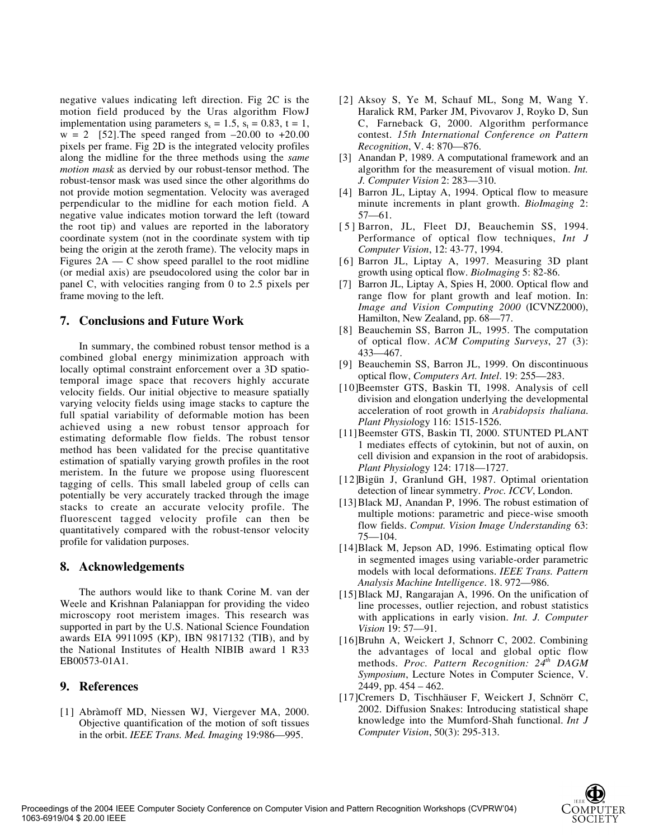negative values indicating left direction. Fig 2C is the motion field produced by the Uras algorithm FlowJ implementation using parameters  $s_s = 1.5$ ,  $s_t = 0.83$ ,  $t = 1$ ,  $w = 2$  [52]. The speed ranged from  $-20.00$  to  $+20.00$ pixels per frame. Fig 2D is the integrated velocity profiles along the midline for the three methods using the *same motion mask* as dervied by our robust-tensor method. The robust-tensor mask was used since the other algorithms do not provide motion segmentation. Velocity was averaged perpendicular to the midline for each motion field. A negative value indicates motion torward the left (toward the root tip) and values are reported in the laboratory coordinate system (not in the coordinate system with tip being the origin at the zeroth frame). The velocity maps in Figures  $2A - C$  show speed parallel to the root midline (or medial axis) are pseudocolored using the color bar in panel C, with velocities ranging from 0 to 2.5 pixels per frame moving to the left.

## **7. Conclusions and Future Work**

In summary, the combined robust tensor method is a combined global energy minimization approach with locally optimal constraint enforcement over a 3D spatiotemporal image space that recovers highly accurate velocity fields. Our initial objective to measure spatially varying velocity fields using image stacks to capture the full spatial variability of deformable motion has been achieved using a new robust tensor approach for estimating deformable flow fields. The robust tensor method has been validated for the precise quantitative estimation of spatially varying growth profiles in the root meristem. In the future we propose using fluorescent tagging of cells. This small labeled group of cells can potentially be very accurately tracked through the image stacks to create an accurate velocity profile. The fluorescent tagged velocity profile can then be quantitatively compared with the robust-tensor velocity profile for validation purposes.

#### **8. Acknowledgements**

The authors would like to thank Corine M. van der Weele and Krishnan Palaniappan for providing the video microscopy root meristem images. This research was supported in part by the U.S. National Science Foundation awards EIA 9911095 (KP), IBN 9817132 (TIB), and by the National Institutes of Health NIBIB award 1 R33 EB00573-01A1.

#### **9. References**

[1] Abràmoff MD, Niessen WJ, Viergever MA, 2000. Objective quantification of the motion of soft tissues in the orbit. *IEEE Trans. Med. Imaging* 19:986—995.

- [2] Aksoy S, Ye M, Schauf ML, Song M, Wang Y. Haralick RM, Parker JM, Pivovarov J, Royko D, Sun C, Farneback G, 2000. Algorithm performance contest. *15th International Conference on Pattern Recognition*, V. 4: 870—876.
- [3] Anandan P, 1989. A computational framework and an algorithm for the measurement of visual motion. *Int. J. Computer Vision* 2: 283—310.
- [4] Barron JL, Liptay A, 1994. Optical flow to measure minute increments in plant growth. *BioImaging* 2: 57—61.
- [5] Barron, JL, Fleet DJ, Beauchemin SS, 1994. Performance of optical flow techniques, *Int J Computer Vision*, 12: 43-77, 1994.
- [6] Barron JL, Liptay A, 1997. Measuring 3D plant growth using optical flow. *BioImaging* 5: 82-86.
- [7] Barron JL, Liptay A, Spies H, 2000. Optical flow and range flow for plant growth and leaf motion. In: *Image and Vision Computing 2000* (ICVNZ2000), Hamilton, New Zealand, pp. 68—77.
- [8] Beauchemin SS, Barron JL, 1995. The computation of optical flow. *ACM Computing Surveys*, 27 (3): 433—467.
- [9] Beauchemin SS, Barron JL, 1999. On discontinuous optical flow, *Computers Art. Intel*. 19: 255—283.
- [10]Beemster GTS, Baskin TI, 1998. Analysis of cell division and elongation underlying the developmental acceleration of root growth in *Arabidopsis thaliana*. *Plant Physiol*ogy 116: 1515-1526.
- [11]Beemster GTS, Baskin TI, 2000. STUNTED PLANT 1 mediates effects of cytokinin, but not of auxin, on cell division and expansion in the root of arabidopsis. *Plant Physiol*ogy 124: 1718—1727.
- [12]Bigün J, Granlund GH, 1987. Optimal orientation detection of linear symmetry. *Proc. ICCV*, London.
- [13]Black MJ, Anandan P, 1996. The robust estimation of multiple motions: parametric and piece-wise smooth flow fields. *Comput. Vision Image Understanding* 63: 75—104.
- [14]Black M, Jepson AD, 1996. Estimating optical flow in segmented images using variable-order parametric models with local deformations. *IEEE Trans. Pattern Analysis Machine Intelligence*. 18. 972—986.
- [15]Black MJ, Rangarajan A, 1996. On the unification of line processes, outlier rejection, and robust statistics with applications in early vision. *Int. J. Computer Vision* 19: 57—91.
- [16]Bruhn A, Weickert J, Schnorr C, 2002. Combining the advantages of local and global optic flow methods. *Proc. Pattern Recognition:* 24<sup>th</sup> DAGM *Symposium*, Lecture Notes in Computer Science, V. 2449, pp. 454 – 462.
- [17]Cremers D, Tischhäuser F, Weickert J, Schnörr C, 2002. Diffusion Snakes: Introducing statistical shape knowledge into the Mumford-Shah functional. *Int J Computer Vision*, 50(3): 295-313.

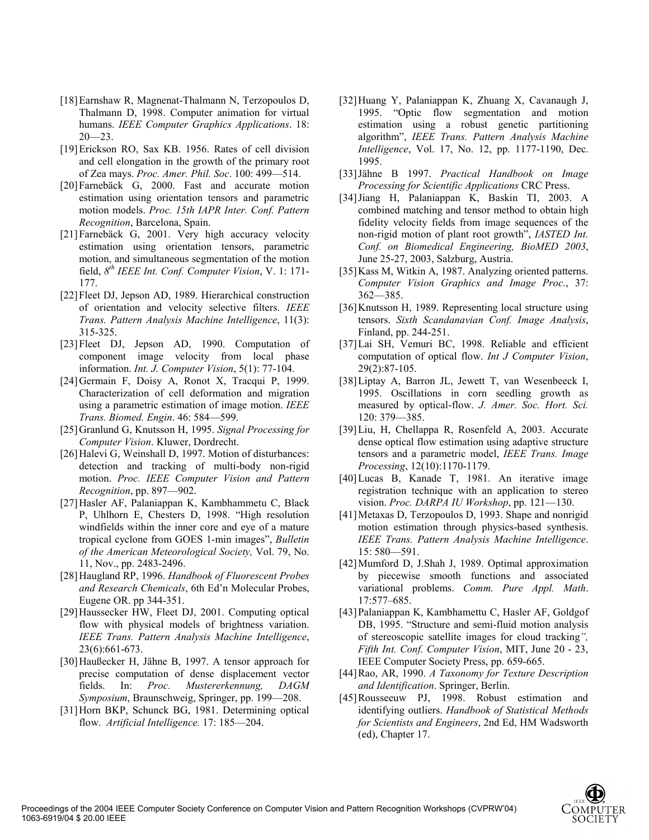- [18] Earnshaw R, Magnenat-Thalmann N, Terzopoulos D, Thalmann D, 1998. Computer animation for virtual humans. *IEEE Computer Graphics Applications*. 18:  $20 - 23$ .
- [19] Erickson RO, Sax KB. 1956. Rates of cell division and cell elongation in the growth of the primary root of Zea mays. *Proc. Amer. Phil. Soc*. 100: 499—514.
- [20] Farnebäck G, 2000. Fast and accurate motion estimation using orientation tensors and parametric motion models. *Proc. 15th IAPR Inter. Conf. Pattern Recognition*, Barcelona, Spain.
- [21] Farnebäck G, 2001. Very high accuracy velocity estimation using orientation tensors, parametric motion, and simultaneous segmentation of the motion field, *8th IEEE Int. Conf. Computer Vision*, V. 1: 171- 177.
- [22] Fleet DJ, Jepson AD, 1989. Hierarchical construction of orientation and velocity selective filters. *IEEE Trans. Pattern Analysis Machine Intelligence*, 11(3): 315-325.
- [23] Fleet DJ, Jepson AD, 1990. Computation of component image velocity from local phase information. *Int. J. Computer Vision*, 5(1): 77-104.
- [24] Germain F, Doisy A, Ronot X, Tracqui P, 1999. Characterization of cell deformation and migration using a parametric estimation of image motion. *IEEE Trans. Biomed. Engin*. 46: 584—599.
- [25] Granlund G, Knutsson H, 1995. *Signal Processing for Computer Vision*. Kluwer, Dordrecht.
- [26] Halevi G, Weinshall D, 1997. Motion of disturbances: detection and tracking of multi-body non-rigid motion. *Proc. IEEE Computer Vision and Pattern Recognition*, pp. 897—902.
- [27] Hasler AF, Palaniappan K, Kambhammetu C, Black P, Uhlhorn E, Chesters D, 1998. "High resolution windfields within the inner core and eye of a mature tropical cyclone from GOES 1-min images", *Bulletin of the American Meteorological Society,* Vol. 79, No. 11, Nov., pp. 2483-2496.
- [28] Haugland RP, 1996. *Handbook of Fluorescent Probes and Research Chemicals*, 6th Ed'n Molecular Probes, Eugene OR. pp 344-351.
- [29] Haussecker HW, Fleet DJ, 2001. Computing optical flow with physical models of brightness variation. *IEEE Trans. Pattern Analysis Machine Intelligence*, 23(6):661-673.
- [30] Haußecker H, Jähne B, 1997. A tensor approach for precise computation of dense displacement vector fields. In: *Proc. Mustererkennung, DAGM Symposium*, Braunschweig, Springer, pp. 199—208.
- [31] Horn BKP, Schunck BG, 1981. Determining optical flow. *Artificial Intelligence.* 17: 185—204.
- [32] Huang Y, Palaniappan K, Zhuang X, Cavanaugh J, 1995. "Optic flow segmentation and motion estimation using a robust genetic partitioning algorithm", *IEEE Trans. Pattern Analysis Machine Intelligence*, Vol. 17, No. 12, pp. 1177-1190, Dec. 1995.
- [33] Jähne B 1997. *Practical Handbook on Image Processing for Scientific Applications* CRC Press.
- [34] Jiang H, Palaniappan K, Baskin TI, 2003. A combined matching and tensor method to obtain high fidelity velocity fields from image sequences of the non-rigid motion of plant root growth", *IASTED Int. Conf. on Biomedical Engineering, BioMED 2003*, June 25-27, 2003, Salzburg, Austria.
- [35] Kass M, Witkin A, 1987. Analyzing oriented patterns. *Computer Vision Graphics and Image Proc.*, 37: 362—385.
- [36] Knutsson H, 1989. Representing local structure using tensors. *Sixth Scandanavian Conf. Image Analysis*, Finland, pp. 244-251.
- [37] Lai SH, Vemuri BC, 1998. Reliable and efficient computation of optical flow. *Int J Computer Vision*, 29(2):87-105.
- [38] Liptay A, Barron JL, Jewett T, van Wesenbeeck I, 1995. Oscillations in corn seedling growth as measured by optical-flow. *J. Amer. Soc. Hort. Sci.* 120: 379—385.
- [39] Liu, H, Chellappa R, Rosenfeld A, 2003. Accurate dense optical flow estimation using adaptive structure tensors and a parametric model, *IEEE Trans. Image Processing*, 12(10):1170-1179.
- [40] Lucas B, Kanade T, 1981. An iterative image registration technique with an application to stereo vision. *Proc. DARPA IU Workshop*, pp. 121—130.
- [41] Metaxas D, Terzopoulos D, 1993. Shape and nonrigid motion estimation through physics-based synthesis. *IEEE Trans. Pattern Analysis Machine Intelligence*. 15: 580—591.
- [42] Mumford D, J.Shah J, 1989. Optimal approximation by piecewise smooth functions and associated variational problems. *Comm. Pure Appl. Math*. 17:577–685.
- [43] Palaniappan K, Kambhamettu C, Hasler AF, Goldgof DB, 1995. "Structure and semi-fluid motion analysis of stereoscopic satellite images for cloud tracking*", Fifth Int. Conf. Computer Vision*, MIT, June 20 - 23, IEEE Computer Society Press, pp. 659-665.
- [44] Rao, AR, 1990. *A Taxonomy for Texture Description and Identification*. Springer, Berlin.
- [45] Rousseeuw PJ, 1998. Robust estimation and identifying outliers. *Handbook of Statistical Methods for Scientists and Engineers*, 2nd Ed, HM Wadsworth (ed), Chapter 17.

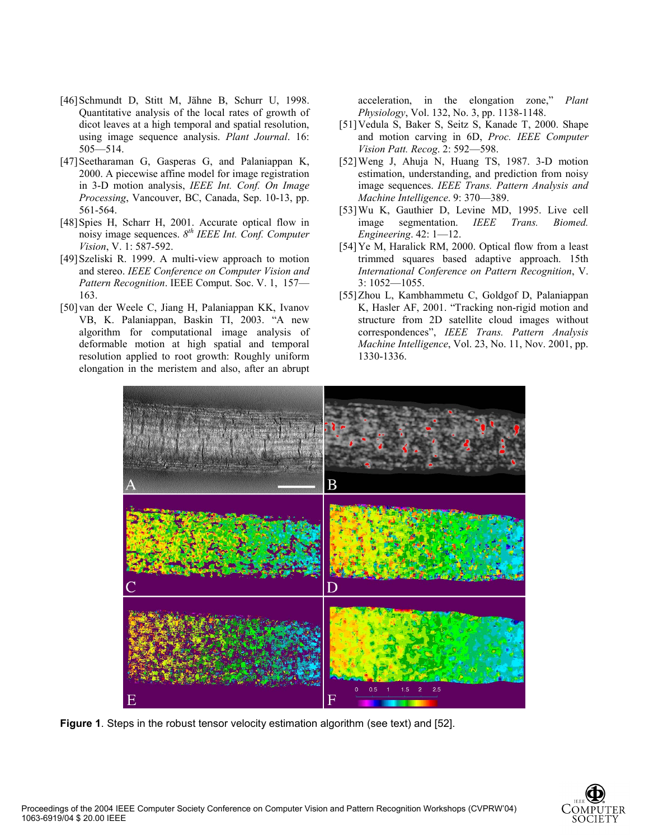- [46] Schmundt D, Stitt M, Jähne B, Schurr U, 1998. Quantitative analysis of the local rates of growth of dicot leaves at a high temporal and spatial resolution, using image sequence analysis. *Plant Journal*. 16: 505—514.
- [47] Seetharaman G, Gasperas G, and Palaniappan K, 2000. A piecewise affine model for image registration in 3-D motion analysis, *IEEE Int. Conf. On Image Processing*, Vancouver, BC, Canada, Sep. 10-13, pp. 561-564.
- [48] Spies H, Scharr H, 2001. Accurate optical flow in noisy image sequences. *8th IEEE Int. Conf. Computer Vision*, V. 1: 587-592.
- [49] Szeliski R. 1999. A multi-view approach to motion and stereo. *IEEE Conference on Computer Vision and Pattern Recognition*. IEEE Comput. Soc. V. 1, 157— 163.
- [50] van der Weele C, Jiang H, Palaniappan KK, Ivanov VB, K. Palaniappan, Baskin TI, 2003. "A new algorithm for computational image analysis of deformable motion at high spatial and temporal resolution applied to root growth: Roughly uniform elongation in the meristem and also, after an abrupt

acceleration, in the elongation zone," *Plant Physiology*, Vol. 132, No. 3, pp. 1138-1148.

- [51] Vedula S, Baker S, Seitz S, Kanade T, 2000. Shape and motion carving in 6D, *Proc. IEEE Computer Vision Patt. Recog*. 2: 592—598.
- [52] Weng J, Ahuja N, Huang TS, 1987. 3-D motion estimation, understanding, and prediction from noisy image sequences. *IEEE Trans. Pattern Analysis and Machine Intelligence*. 9: 370—389.
- [53] Wu K, Gauthier D, Levine MD, 1995. Live cell image segmentation. *IEEE Trans. Biomed. Engineering*. 42: 1—12.
- [54] Ye M, Haralick RM, 2000. Optical flow from a least trimmed squares based adaptive approach. 15th *International Conference on Pattern Recognition*, V. 3: 1052—1055.
- [55] Zhou L, Kambhammetu C, Goldgof D, Palaniappan K, Hasler AF, 2001. "Tracking non-rigid motion and structure from 2D satellite cloud images without correspondences", *IEEE Trans. Pattern Analysis Machine Intelligence*, Vol. 23, No. 11, Nov. 2001, pp. 1330-1336.



**Figure 1**. Steps in the robust tensor velocity estimation algorithm (see text) and [52].